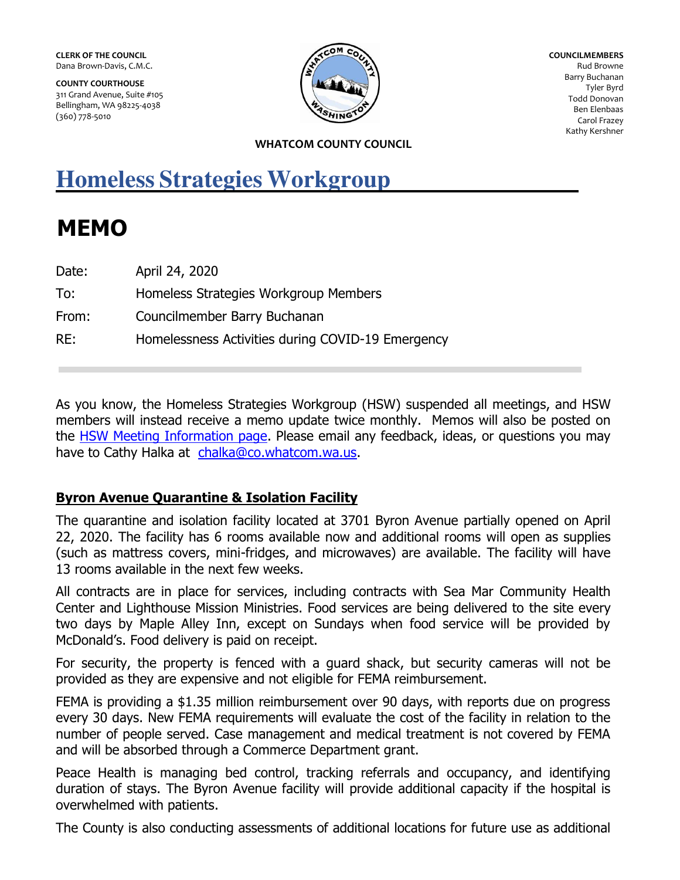**CLERK OF THE COUNCIL**  Dana Brown-Davis, C.M.C.

**COUNTY COURTHOUSE**  311 Grand Avenue, Suite #105 Bellingham, WA 98225-4038 (360) 778-5010



**COUNCILMEMBERS**  Rud Browne Barry Buchanan Tyler Byrd Todd Donovan Ben Elenbaas Carol Frazey Kathy Kershner

#### **WHATCOM COUNTY COUNCIL**

# **Homeless Strategies Workgroup**

# **MEMO**

| Date: | April 24, 2020                                    |
|-------|---------------------------------------------------|
| To:   | Homeless Strategies Workgroup Members             |
| From: | Councilmember Barry Buchanan                      |
| RE:   | Homelessness Activities during COVID-19 Emergency |

As you know, the Homeless Strategies Workgroup (HSW) suspended all meetings, and HSW members will instead receive a memo update twice monthly. Memos will also be posted on the [HSW Meeting Information page.](http://whatcomcounty.us/2748/Homeless-Strategies-Workgroup-Meeting-In) Please email any feedback, ideas, or questions you may have to Cathy Halka at [chalka@co.whatcom.wa.us.](mailto:chalka@co.whatcom.wa.us)

## **Byron Avenue Quarantine & Isolation Facility**

The quarantine and isolation facility located at 3701 Byron Avenue partially opened on April 22, 2020. The facility has 6 rooms available now and additional rooms will open as supplies (such as mattress covers, mini-fridges, and microwaves) are available. The facility will have 13 rooms available in the next few weeks.

All contracts are in place for services, including contracts with Sea Mar Community Health Center and Lighthouse Mission Ministries. Food services are being delivered to the site every two days by Maple Alley Inn, except on Sundays when food service will be provided by McDonald's. Food delivery is paid on receipt.

For security, the property is fenced with a guard shack, but security cameras will not be provided as they are expensive and not eligible for FEMA reimbursement.

FEMA is providing a \$1.35 million reimbursement over 90 days, with reports due on progress every 30 days. New FEMA requirements will evaluate the cost of the facility in relation to the number of people served. Case management and medical treatment is not covered by FEMA and will be absorbed through a Commerce Department grant.

Peace Health is managing bed control, tracking referrals and occupancy, and identifying duration of stays. The Byron Avenue facility will provide additional capacity if the hospital is overwhelmed with patients.

The County is also conducting assessments of additional locations for future use as additional